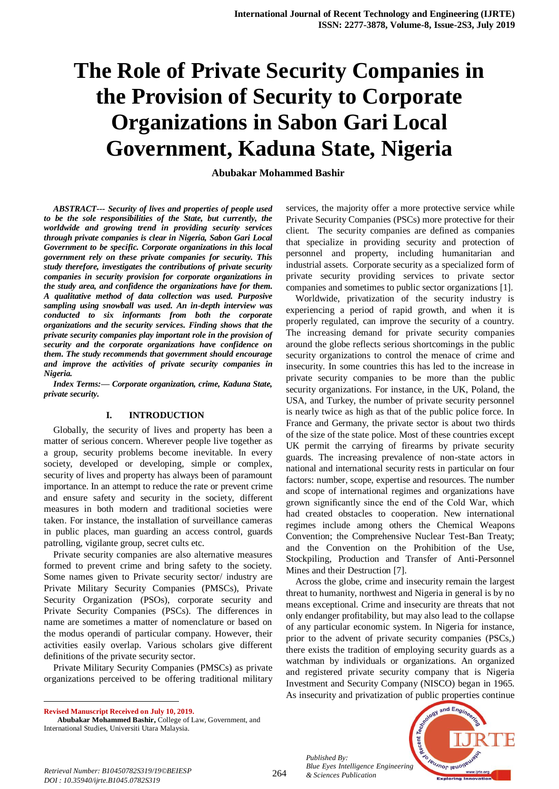# **The Role of Private Security Companies in the Provision of Security to Corporate Organizations in Sabon Gari Local Government, Kaduna State, Nigeria**

**Abubakar Mohammed Bashir**

*ABSTRACT--- Security of lives and properties of people used to be the sole responsibilities of the State, but currently, the worldwide and growing trend in providing security services through private companies is clear in Nigeria, Sabon Gari Local Government to be specific. Corporate organizations in this local government rely on these private companies for security. This study therefore, investigates the contributions of private security companies in security provision for corporate organizations in the study area, and confidence the organizations have for them. A qualitative method of data collection was used. Purposive sampling using snowball was used. An in-depth interview was conducted to six informants from both the corporate organizations and the security services. Finding shows that the private security companies play important role in the provision of security and the corporate organizations have confidence on them. The study recommends that government should encourage and improve the activities of private security companies in Nigeria.*

*Index Terms:— Corporate organization, crime, Kaduna State, private security.*

### **I. INTRODUCTION**

Globally, the security of lives and property has been a matter of serious concern. Wherever people live together as a group, security problems become inevitable. In every society, developed or developing, simple or complex, security of lives and property has always been of paramount importance. In an attempt to reduce the rate or prevent crime and ensure safety and security in the society, different measures in both modern and traditional societies were taken. For instance, the installation of surveillance cameras in public places, man guarding an access control, guards patrolling, vigilante group, secret cults etc.

Private security companies are also alternative measures formed to prevent crime and bring safety to the society. Some names given to Private security sector/ industry are Private Military Security Companies (PMSCs), Private Security Organization (PSOs), corporate security and Private Security Companies (PSCs). The differences in name are sometimes a matter of nomenclature or based on the modus operandi of particular company. However, their activities easily overlap. Various scholars give different definitions of the private security sector.

Private Military Security Companies (PMSCs) as private organizations perceived to be offering traditional military

**Revised Manuscript Received on July 10, 2019.**

 $\ddot{\phantom{a}}$ 

services, the majority offer a more protective service while Private Security Companies (PSCs) more protective for their client. The security companies are defined as companies that specialize in providing security and protection of personnel and property, including humanitarian and industrial assets. Corporate security as a specialized form of private security providing services to private sector companies and sometimes to public sector organizations [1].

Worldwide, privatization of the security industry is experiencing a period of rapid growth, and when it is properly regulated, can improve the security of a country. The increasing demand for private security companies around the globe reflects serious shortcomings in the public security organizations to control the menace of crime and insecurity. In some countries this has led to the increase in private security companies to be more than the public security organizations. For instance, in the UK, Poland, the USA, and Turkey, the number of private security personnel is nearly twice as high as that of the public police force. In France and Germany, the private sector is about two thirds of the size of the state police. Most of these countries except UK permit the carrying of firearms by private security guards. The increasing prevalence of non-state actors in national and international security rests in particular on four factors: number, scope, expertise and resources. The number and scope of international regimes and organizations have grown significantly since the end of the Cold War, which had created obstacles to cooperation. New international regimes include among others the Chemical Weapons Convention; the Comprehensive Nuclear Test-Ban Treaty; and the Convention on the Prohibition of the Use, Stockpiling, Production and Transfer of Anti-Personnel Mines and their Destruction [7].

Across the globe, crime and insecurity remain the largest threat to humanity, northwest and Nigeria in general is by no means exceptional. Crime and insecurity are threats that not only endanger profitability, but may also lead to the collapse of any particular economic system. In Nigeria for instance, prior to the advent of private security companies (PSCs,) there exists the tradition of employing security guards as a watchman by individuals or organizations. An organized and registered private security company that is Nigeria Investment and Security Company (NISCO) began in 1965. As insecurity and privatization of public properties continue

*Published By: Blue Eyes Intelligence Engineering* 



*& Sciences Publication Retrieval Number: B10450782S319/19©BEIESP DOI : 10.35940/ijrte.B1045.0782S319*

**Abubakar Mohammed Bashir,** College of Law, Government, and International Studies, Universiti Utara Malaysia.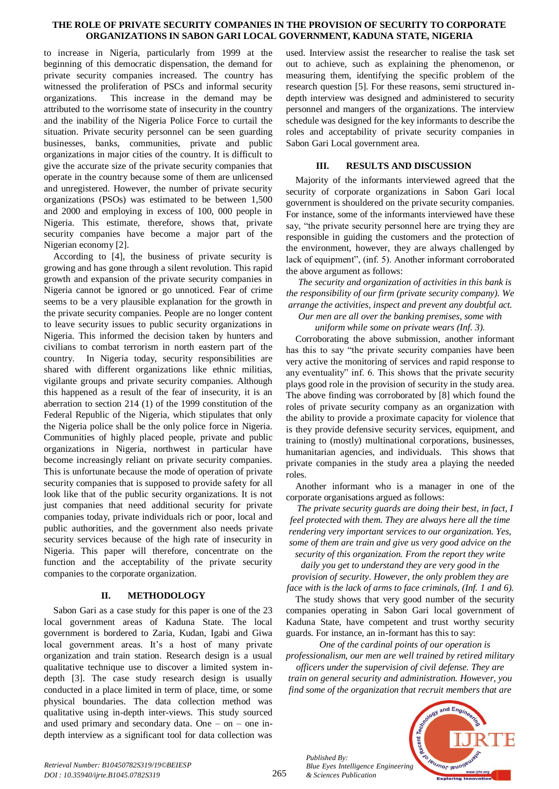### **THE ROLE OF PRIVATE SECURITY COMPANIES IN THE PROVISION OF SECURITY TO CORPORATE ORGANIZATIONS IN SABON GARI LOCAL GOVERNMENT, KADUNA STATE, NIGERIA**

to increase in Nigeria, particularly from 1999 at the beginning of this democratic dispensation, the demand for private security companies increased. The country has witnessed the proliferation of PSCs and informal security organizations. This increase in the demand may be attributed to the worrisome state of insecurity in the country and the inability of the Nigeria Police Force to curtail the situation. Private security personnel can be seen guarding businesses, banks, communities, private and public organizations in major cities of the country. It is difficult to give the accurate size of the private security companies that operate in the country because some of them are unlicensed and unregistered. However, the number of private security organizations (PSOs) was estimated to be between 1,500 and 2000 and employing in excess of 100, 000 people in Nigeria. This estimate, therefore, shows that, private security companies have become a major part of the Nigerian economy [2].

According to [4], the business of private security is growing and has gone through a silent revolution. This rapid growth and expansion of the private security companies in Nigeria cannot be ignored or go unnoticed. Fear of crime seems to be a very plausible explanation for the growth in the private security companies. People are no longer content to leave security issues to public security organizations in Nigeria. This informed the decision taken by hunters and civilians to combat terrorism in north eastern part of the country. In Nigeria today, security responsibilities are shared with different organizations like ethnic militias, vigilante groups and private security companies. Although this happened as a result of the fear of insecurity, it is an aberration to section 214 (1) of the 1999 constitution of the Federal Republic of the Nigeria, which stipulates that only the Nigeria police shall be the only police force in Nigeria. Communities of highly placed people, private and public organizations in Nigeria, northwest in particular have become increasingly reliant on private security companies. This is unfortunate because the mode of operation of private security companies that is supposed to provide safety for all look like that of the public security organizations. It is not just companies that need additional security for private companies today, private individuals rich or poor, local and public authorities, and the government also needs private security services because of the high rate of insecurity in Nigeria. This paper will therefore, concentrate on the function and the acceptability of the private security companies to the corporate organization.

## **II. METHODOLOGY**

Sabon Gari as a case study for this paper is one of the 23 local government areas of Kaduna State. The local government is bordered to Zaria, Kudan, Igabi and Giwa local government areas. It's a host of many private organization and train station. Research design is a usual qualitative technique use to discover a limited system indepth [3]. The case study research design is usually conducted in a place limited in term of place, time, or some physical boundaries. The data collection method was qualitative using in-depth inter-views. This study sourced and used primary and secondary data. One – on – one indepth interview as a significant tool for data collection was

used. Interview assist the researcher to realise the task set out to achieve, such as explaining the phenomenon, or measuring them, identifying the specific problem of the research question [5]. For these reasons, semi structured indepth interview was designed and administered to security personnel and mangers of the organizations. The interview schedule was designed for the key informants to describe the roles and acceptability of private security companies in Sabon Gari Local government area.

# **III. RESULTS AND DISCUSSION**

Majority of the informants interviewed agreed that the security of corporate organizations in Sabon Gari local government is shouldered on the private security companies. For instance, some of the informants interviewed have these say, "the private security personnel here are trying they are responsible in guiding the customers and the protection of the environment, however, they are always challenged by lack of equipment", (inf. 5). Another informant corroborated the above argument as follows:

*The security and organization of activities in this bank is the responsibility of our firm (private security company). We arrange the activities, inspect and prevent any doubtful act. Our men are all over the banking premises, some with* 

*uniform while some on private wears (Inf. 3).*

Corroborating the above submission, another informant has this to say "the private security companies have been very active the monitoring of services and rapid response to any eventuality" inf. 6. This shows that the private security plays good role in the provision of security in the study area. The above finding was corroborated by [8] which found the roles of private security company as an organization with the ability to provide a proximate capacity for violence that is they provide defensive security services, equipment, and training to (mostly) multinational corporations, businesses, humanitarian agencies, and individuals. This shows that private companies in the study area a playing the needed roles.

Another informant who is a manager in one of the corporate organisations argued as follows:

*The private security guards are doing their best, in fact, I feel protected with them. They are always here all the time rendering very important services to our organization. Yes, some of them are train and give us very good advice on the security of this organization. From the report they write* 

*daily you get to understand they are very good in the provision of security. However, the only problem they are face with is the lack of arms to face criminals, (Inf. 1 and 6).*

The study shows that very good number of the security companies operating in Sabon Gari local government of Kaduna State, have competent and trust worthy security guards. For instance, an in-formant has this to say:

*One of the cardinal points of our operation is professionalism, our men are well trained by retired military* 

*officers under the supervision of civil defense. They are train on general security and administration. However, you find some of the organization that recruit members that are* 



*Published By:*

*& Sciences Publication*